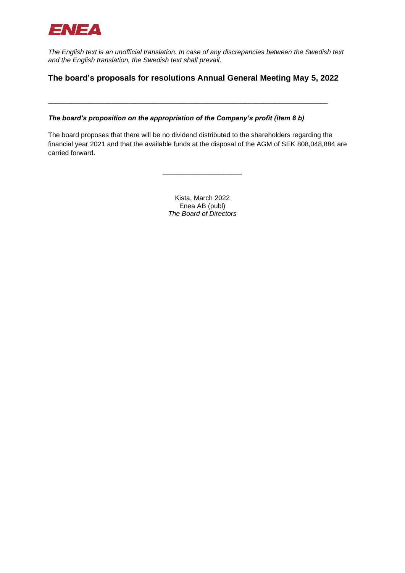

*The English text is an unofficial translation. In case of any discrepancies between the Swedish text and the English translation, the Swedish text shall prevail.*

# **The board's proposals for resolutions Annual General Meeting May 5, 2022**

\_\_\_\_\_\_\_\_\_\_\_\_\_\_\_\_\_\_\_\_\_\_\_\_\_\_\_\_\_\_\_\_\_\_\_\_\_\_\_\_\_\_\_\_\_\_\_\_\_\_\_\_\_\_\_\_\_\_\_\_\_\_\_\_\_\_\_\_\_\_\_\_\_\_

*The board's proposition on the appropriation of the Company's profit (item 8 b)* 

The board proposes that there will be no dividend distributed to the shareholders regarding the financial year 2021 and that the available funds at the disposal of the AGM of SEK 808,048,884 are carried forward.

> Kista, March 2022 Enea AB (publ) *The Board of Directors*

\_\_\_\_\_\_\_\_\_\_\_\_\_\_\_\_\_\_\_\_\_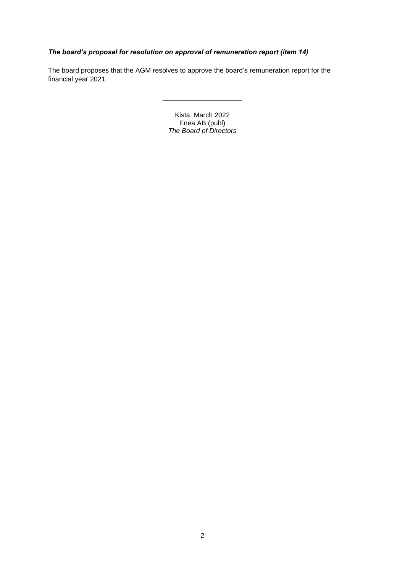## *The board's proposal for resolution on approval of remuneration report (item 14)*

The board proposes that the AGM resolves to approve the board's remuneration report for the financial year 2021.

> Kista, March 2022 Enea AB (publ) *The Board of Directors*

\_\_\_\_\_\_\_\_\_\_\_\_\_\_\_\_\_\_\_\_\_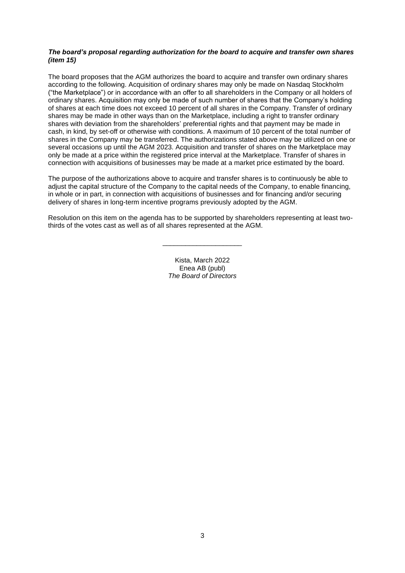## *The board's proposal regarding authorization for the board to acquire and transfer own shares (item 15)*

The board proposes that the AGM authorizes the board to acquire and transfer own ordinary shares according to the following. Acquisition of ordinary shares may only be made on Nasdaq Stockholm ("the Marketplace") or in accordance with an offer to all shareholders in the Company or all holders of ordinary shares. Acquisition may only be made of such number of shares that the Company's holding of shares at each time does not exceed 10 percent of all shares in the Company. Transfer of ordinary shares may be made in other ways than on the Marketplace, including a right to transfer ordinary shares with deviation from the shareholders' preferential rights and that payment may be made in cash, in kind, by set-off or otherwise with conditions. A maximum of 10 percent of the total number of shares in the Company may be transferred. The authorizations stated above may be utilized on one or several occasions up until the AGM 2023. Acquisition and transfer of shares on the Marketplace may only be made at a price within the registered price interval at the Marketplace. Transfer of shares in connection with acquisitions of businesses may be made at a market price estimated by the board.

The purpose of the authorizations above to acquire and transfer shares is to continuously be able to adjust the capital structure of the Company to the capital needs of the Company, to enable financing, in whole or in part, in connection with acquisitions of businesses and for financing and/or securing delivery of shares in long-term incentive programs previously adopted by the AGM.

Resolution on this item on the agenda has to be supported by shareholders representing at least twothirds of the votes cast as well as of all shares represented at the AGM.

\_\_\_\_\_\_\_\_\_\_\_\_\_\_\_\_\_\_\_\_\_

Kista, March 2022 Enea AB (publ) *The Board of Directors*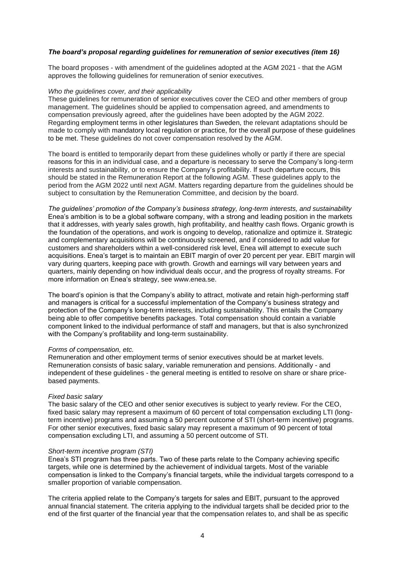## *The board's proposal regarding guidelines for remuneration of senior executives (item 16)*

The board proposes - with amendment of the guidelines adopted at the AGM 2021 - that the AGM approves the following guidelines for remuneration of senior executives.

### *Who the guidelines cover, and their applicability*

These guidelines for remuneration of senior executives cover the CEO and other members of group management. The guidelines should be applied to compensation agreed, and amendments to compensation previously agreed, after the guidelines have been adopted by the AGM 2022. Regarding employment terms in other legislatures than Sweden, the relevant adaptations should be made to comply with mandatory local regulation or practice, for the overall purpose of these guidelines to be met. These guidelines do not cover compensation resolved by the AGM.

The board is entitled to temporarily depart from these guidelines wholly or partly if there are special reasons for this in an individual case, and a departure is necessary to serve the Company's long-term interests and sustainability, or to ensure the Company's profitability. If such departure occurs, this should be stated in the Remuneration Report at the following AGM. These guidelines apply to the period from the AGM 2022 until next AGM. Matters regarding departure from the guidelines should be subject to consultation by the Remuneration Committee, and decision by the board.

*The guidelines' promotion of the Company's business strategy, long-term interests, and sustainability* Enea's ambition is to be a global software company, with a strong and leading position in the markets that it addresses, with yearly sales growth, high profitability, and healthy cash flows. Organic growth is the foundation of the operations, and work is ongoing to develop, rationalize and optimize it. Strategic and complementary acquisitions will be continuously screened, and if considered to add value for customers and shareholders within a well-considered risk level, Enea will attempt to execute such acquisitions. Enea's target is to maintain an EBIT margin of over 20 percent per year. EBIT margin will vary during quarters, keeping pace with growth. Growth and earnings will vary between years and quarters, mainly depending on how individual deals occur, and the progress of royalty streams. For more information on Enea's strategy, see www.enea.se.

The board's opinion is that the Company's ability to attract, motivate and retain high-performing staff and managers is critical for a successful implementation of the Company's business strategy and protection of the Company's long-term interests, including sustainability. This entails the Company being able to offer competitive benefits packages. Total compensation should contain a variable component linked to the individual performance of staff and managers, but that is also synchronized with the Company's profitability and long-term sustainability.

#### *Forms of compensation, etc.*

Remuneration and other employment terms of senior executives should be at market levels. Remuneration consists of basic salary, variable remuneration and pensions. Additionally - and independent of these guidelines - the general meeting is entitled to resolve on share or share pricebased payments.

#### *Fixed basic salary*

The basic salary of the CEO and other senior executives is subject to yearly review. For the CEO, fixed basic salary may represent a maximum of 60 percent of total compensation excluding LTI (longterm incentive) programs and assuming a 50 percent outcome of STI (short-term incentive) programs. For other senior executives, fixed basic salary may represent a maximum of 90 percent of total compensation excluding LTI, and assuming a 50 percent outcome of STI.

#### *Short-term incentive program (STI)*

Enea's STI program has three parts. Two of these parts relate to the Company achieving specific targets, while one is determined by the achievement of individual targets. Most of the variable compensation is linked to the Company's financial targets, while the individual targets correspond to a smaller proportion of variable compensation.

The criteria applied relate to the Company's targets for sales and EBIT, pursuant to the approved annual financial statement. The criteria applying to the individual targets shall be decided prior to the end of the first quarter of the financial year that the compensation relates to, and shall be as specific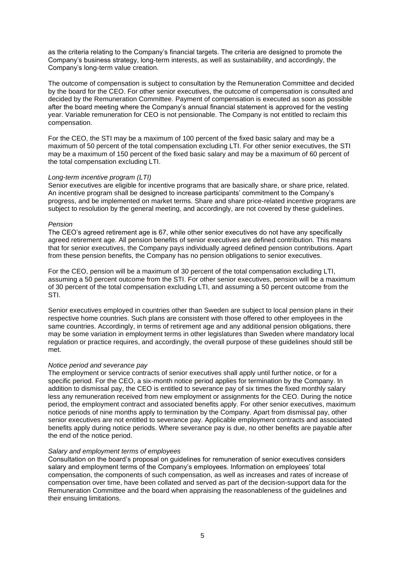as the criteria relating to the Company's financial targets. The criteria are designed to promote the Company's business strategy, long-term interests, as well as sustainability, and accordingly, the Company's long-term value creation.

The outcome of compensation is subject to consultation by the Remuneration Committee and decided by the board for the CEO. For other senior executives, the outcome of compensation is consulted and decided by the Remuneration Committee. Payment of compensation is executed as soon as possible after the board meeting where the Company's annual financial statement is approved for the vesting year. Variable remuneration for CEO is not pensionable. The Company is not entitled to reclaim this compensation.

For the CEO, the STI may be a maximum of 100 percent of the fixed basic salary and may be a maximum of 50 percent of the total compensation excluding LTI. For other senior executives, the STI may be a maximum of 150 percent of the fixed basic salary and may be a maximum of 60 percent of the total compensation excluding LTI.

## *Long-term incentive program (LTI)*

Senior executives are eligible for incentive programs that are basically share, or share price, related. An incentive program shall be designed to increase participants' commitment to the Company's progress, and be implemented on market terms. Share and share price-related incentive programs are subject to resolution by the general meeting, and accordingly, are not covered by these guidelines.

## *Pension*

The CEO's agreed retirement age is 67, while other senior executives do not have any specifically agreed retirement age. All pension benefits of senior executives are defined contribution. This means that for senior executives, the Company pays individually agreed defined pension contributions. Apart from these pension benefits, the Company has no pension obligations to senior executives.

For the CEO, pension will be a maximum of 30 percent of the total compensation excluding LTI, assuming a 50 percent outcome from the STI. For other senior executives, pension will be a maximum of 30 percent of the total compensation excluding LTI, and assuming a 50 percent outcome from the STI.

Senior executives employed in countries other than Sweden are subject to local pension plans in their respective home countries. Such plans are consistent with those offered to other employees in the same countries. Accordingly, in terms of retirement age and any additional pension obligations, there may be some variation in employment terms in other legislatures than Sweden where mandatory local regulation or practice requires, and accordingly, the overall purpose of these guidelines should still be met.

#### *Notice period and severance pay*

The employment or service contracts of senior executives shall apply until further notice, or for a specific period. For the CEO, a six-month notice period applies for termination by the Company. In addition to dismissal pay, the CEO is entitled to severance pay of six times the fixed monthly salary less any remuneration received from new employment or assignments for the CEO. During the notice period, the employment contract and associated benefits apply. For other senior executives, maximum notice periods of nine months apply to termination by the Company. Apart from dismissal pay, other senior executives are not entitled to severance pay. Applicable employment contracts and associated benefits apply during notice periods. Where severance pay is due, no other benefits are payable after the end of the notice period.

#### *Salary and employment terms of employees*

Consultation on the board's proposal on guidelines for remuneration of senior executives considers salary and employment terms of the Company's employees. Information on employees' total compensation, the components of such compensation, as well as increases and rates of increase of compensation over time, have been collated and served as part of the decision-support data for the Remuneration Committee and the board when appraising the reasonableness of the guidelines and their ensuing limitations.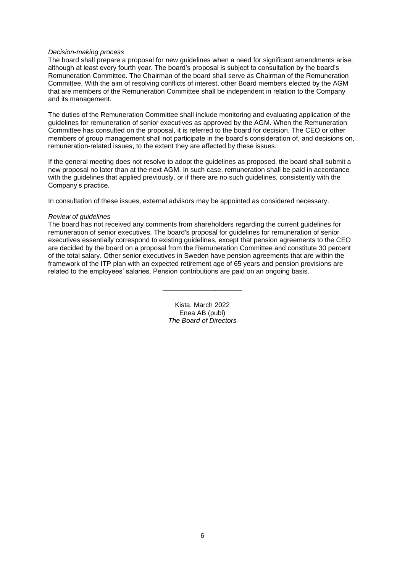## *Decision-making process*

The board shall prepare a proposal for new guidelines when a need for significant amendments arise, although at least every fourth year. The board's proposal is subject to consultation by the board's Remuneration Committee. The Chairman of the board shall serve as Chairman of the Remuneration Committee. With the aim of resolving conflicts of interest, other Board members elected by the AGM that are members of the Remuneration Committee shall be independent in relation to the Company and its management.

The duties of the Remuneration Committee shall include monitoring and evaluating application of the guidelines for remuneration of senior executives as approved by the AGM. When the Remuneration Committee has consulted on the proposal, it is referred to the board for decision. The CEO or other members of group management shall not participate in the board's consideration of, and decisions on, remuneration-related issues, to the extent they are affected by these issues.

If the general meeting does not resolve to adopt the guidelines as proposed, the board shall submit a new proposal no later than at the next AGM. In such case, remuneration shall be paid in accordance with the guidelines that applied previously, or if there are no such guidelines, consistently with the Company's practice.

In consultation of these issues, external advisors may be appointed as considered necessary.

#### *Review of guidelines*

The board has not received any comments from shareholders regarding the current guidelines for remuneration of senior executives. The board's proposal for guidelines for remuneration of senior executives essentially correspond to existing guidelines, except that pension agreements to the CEO are decided by the board on a proposal from the Remuneration Committee and constitute 30 percent of the total salary. Other senior executives in Sweden have pension agreements that are within the framework of the ITP plan with an expected retirement age of 65 years and pension provisions are related to the employees' salaries. Pension contributions are paid on an ongoing basis.

> Kista, March 2022 Enea AB (publ) *The Board of Directors*

\_\_\_\_\_\_\_\_\_\_\_\_\_\_\_\_\_\_\_\_\_